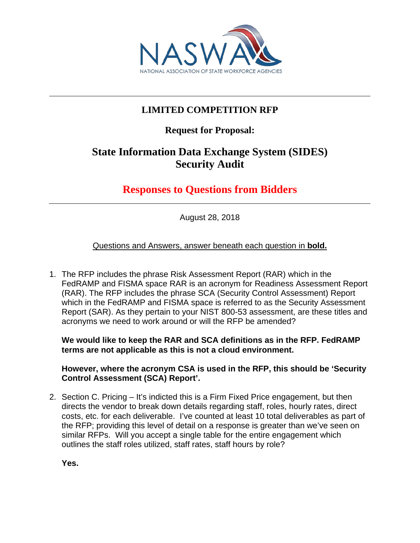

## **LIMITED COMPETITION RFP**

## **Request for Proposal:**

# **State Information Data Exchange System (SIDES) Security Audit**

# **Responses to Questions from Bidders**

August 28, 2018

Questions and Answers, answer beneath each question in **bold.**

1. The RFP includes the phrase Risk Assessment Report (RAR) which in the FedRAMP and FISMA space RAR is an acronym for Readiness Assessment Report (RAR). The RFP includes the phrase SCA (Security Control Assessment) Report which in the FedRAMP and FISMA space is referred to as the Security Assessment Report (SAR). As they pertain to your NIST 800-53 assessment, are these titles and acronyms we need to work around or will the RFP be amended?

**We would like to keep the RAR and SCA definitions as in the RFP. FedRAMP terms are not applicable as this is not a cloud environment.**

**However, where the acronym CSA is used in the RFP, this should be 'Security Control Assessment (SCA) Report'.**

2. Section C. Pricing – It's indicted this is a Firm Fixed Price engagement, but then directs the vendor to break down details regarding staff, roles, hourly rates, direct costs, etc. for each deliverable. I've counted at least 10 total deliverables as part of the RFP; providing this level of detail on a response is greater than we've seen on similar RFPs. Will you accept a single table for the entire engagement which outlines the staff roles utilized, staff rates, staff hours by role?

**Yes.**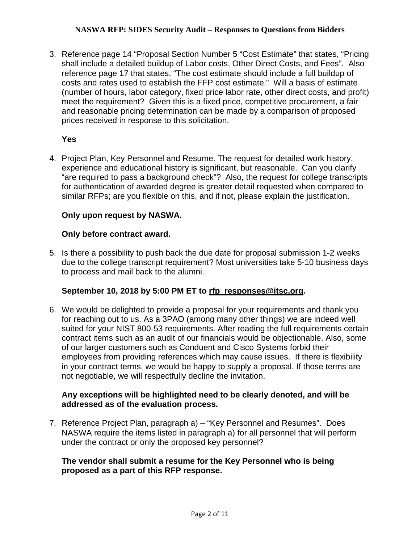3. Reference page 14 "Proposal Section Number 5 "Cost Estimate" that states, "Pricing shall include a detailed buildup of Labor costs, Other Direct Costs, and Fees". Also reference page 17 that states, "The cost estimate should include a full buildup of costs and rates used to establish the FFP cost estimate." Will a basis of estimate (number of hours, labor category, fixed price labor rate, other direct costs, and profit) meet the requirement? Given this is a fixed price, competitive procurement, a fair and reasonable pricing determination can be made by a comparison of proposed prices received in response to this solicitation.

## **Yes**

4. Project Plan, Key Personnel and Resume. The request for detailed work history, experience and educational history is significant, but reasonable. Can you clarify "are required to pass a background check"? Also, the request for college transcripts for authentication of awarded degree is greater detail requested when compared to similar RFPs; are you flexible on this, and if not, please explain the justification.

## **Only upon request by NASWA.**

#### **Only before contract award.**

5. Is there a possibility to push back the due date for proposal submission 1-2 weeks due to the college transcript requirement? Most universities take 5-10 business days to process and mail back to the alumni.

## **September 10, 2018 by 5:00 PM ET to [rfp\\_responses@itsc.org.](mailto:rfp_responses@itsc.org)**

6. We would be delighted to provide a proposal for your requirements and thank you for reaching out to us. As a 3PAO (among many other things) we are indeed well suited for your NIST 800-53 requirements. After reading the full requirements certain contract items such as an audit of our financials would be objectionable. Also, some of our larger customers such as Conduent and Cisco Systems forbid their employees from providing references which may cause issues. If there is flexibility in your contract terms, we would be happy to supply a proposal. If those terms are not negotiable, we will respectfully decline the invitation.

## **Any exceptions will be highlighted need to be clearly denoted, and will be addressed as of the evaluation process.**

7. Reference Project Plan, paragraph a) – "Key Personnel and Resumes". Does NASWA require the items listed in paragraph a) for all personnel that will perform under the contract or only the proposed key personnel?

## **The vendor shall submit a resume for the Key Personnel who is being proposed as a part of this RFP response.**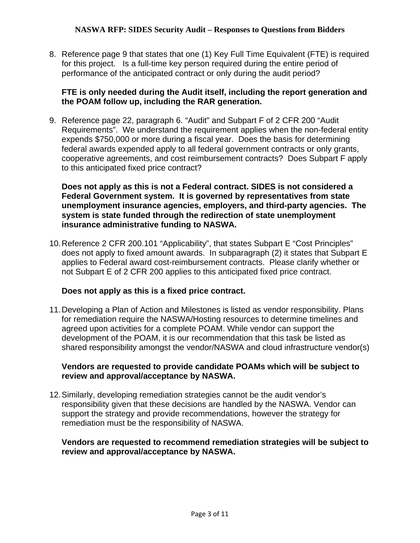8. Reference page 9 that states that one (1) Key Full Time Equivalent (FTE) is required for this project. Is a full-time key person required during the entire period of performance of the anticipated contract or only during the audit period?

## **FTE is only needed during the Audit itself, including the report generation and the POAM follow up, including the RAR generation.**

9. Reference page 22, paragraph 6. "Audit" and Subpart F of 2 CFR 200 "Audit Requirements". We understand the requirement applies when the non-federal entity expends \$750,000 or more during a fiscal year. Does the basis for determining federal awards expended apply to all federal government contracts or only grants, cooperative agreements, and cost reimbursement contracts? Does Subpart F apply to this anticipated fixed price contract?

**Does not apply as this is not a Federal contract. SIDES is not considered a Federal Government system. It is governed by representatives from state unemployment insurance agencies, employers, and third-party agencies. The system is state funded through the redirection of state unemployment insurance administrative funding to NASWA.**

10.Reference 2 CFR 200.101 "Applicability", that states Subpart E "Cost Principles" does not apply to fixed amount awards. In subparagraph (2) it states that Subpart E applies to Federal award cost-reimbursement contracts. Please clarify whether or not Subpart E of 2 CFR 200 applies to this anticipated fixed price contract.

## **Does not apply as this is a fixed price contract.**

11.Developing a Plan of Action and Milestones is listed as vendor responsibility. Plans for remediation require the NASWA/Hosting resources to determine timelines and agreed upon activities for a complete POAM. While vendor can support the development of the POAM, it is our recommendation that this task be listed as shared responsibility amongst the vendor/NASWA and cloud infrastructure vendor(s)

## **Vendors are requested to provide candidate POAMs which will be subject to review and approval/acceptance by NASWA.**

12.Similarly, developing remediation strategies cannot be the audit vendor's responsibility given that these decisions are handled by the NASWA. Vendor can support the strategy and provide recommendations, however the strategy for remediation must be the responsibility of NASWA.

## **Vendors are requested to recommend remediation strategies will be subject to review and approval/acceptance by NASWA.**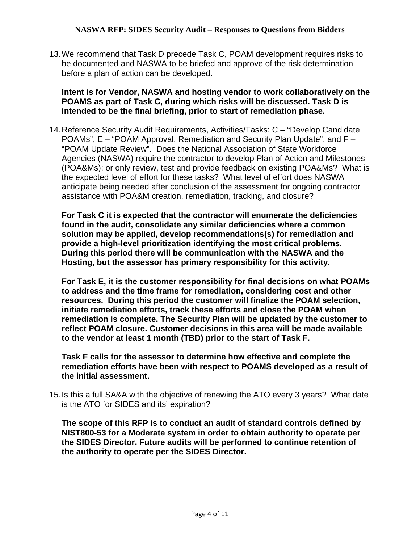13.We recommend that Task D precede Task C, POAM development requires risks to be documented and NASWA to be briefed and approve of the risk determination before a plan of action can be developed.

#### **Intent is for Vendor, NASWA and hosting vendor to work collaboratively on the POAMS as part of Task C, during which risks will be discussed. Task D is intended to be the final briefing, prior to start of remediation phase.**

14.Reference Security Audit Requirements, Activities/Tasks: C – "Develop Candidate POAMs", E – "POAM Approval, Remediation and Security Plan Update", and F – "POAM Update Review". Does the National Association of State Workforce Agencies (NASWA) require the contractor to develop Plan of Action and Milestones (POA&Ms); or only review, test and provide feedback on existing POA&Ms? What is the expected level of effort for these tasks? What level of effort does NASWA anticipate being needed after conclusion of the assessment for ongoing contractor assistance with POA&M creation, remediation, tracking, and closure?

**For Task C it is expected that the contractor will enumerate the deficiencies found in the audit, consolidate any similar deficiencies where a common solution may be applied, develop recommendations(s) for remediation and provide a high-level prioritization identifying the most critical problems. During this period there will be communication with the NASWA and the Hosting, but the assessor has primary responsibility for this activity.** 

**For Task E, it is the customer responsibility for final decisions on what POAMs to address and the time frame for remediation, considering cost and other resources. During this period the customer will finalize the POAM selection, initiate remediation efforts, track these efforts and close the POAM when remediation is complete. The Security Plan will be updated by the customer to reflect POAM closure. Customer decisions in this area will be made available to the vendor at least 1 month (TBD) prior to the start of Task F.** 

**Task F calls for the assessor to determine how effective and complete the remediation efforts have been with respect to POAMS developed as a result of the initial assessment.** 

15.Is this a full SA&A with the objective of renewing the ATO every 3 years? What date is the ATO for SIDES and its' expiration?

**The scope of this RFP is to conduct an audit of standard controls defined by NIST800-53 for a Moderate system in order to obtain authority to operate per the SIDES Director. Future audits will be performed to continue retention of the authority to operate per the SIDES Director.**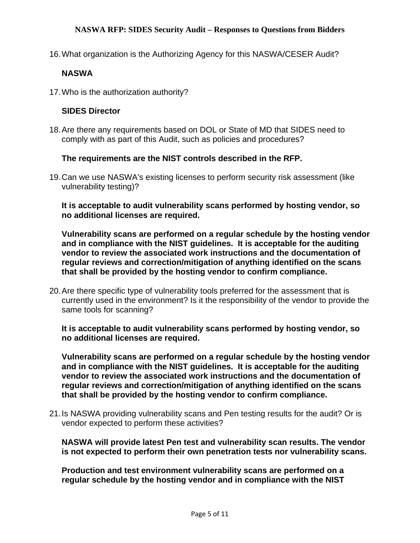16.What organization is the Authorizing Agency for this NASWA/CESER Audit?

## **NASWA**

17.Who is the authorization authority?

#### **SIDES Director**

18.Are there any requirements based on DOL or State of MD that SIDES need to comply with as part of this Audit, such as policies and procedures?

## **The requirements are the NIST controls described in the RFP.**

19.Can we use NASWA's existing licenses to perform security risk assessment (like vulnerability testing)?

**It is acceptable to audit vulnerability scans performed by hosting vendor, so no additional licenses are required.**

**Vulnerability scans are performed on a regular schedule by the hosting vendor and in compliance with the NIST guidelines. It is acceptable for the auditing vendor to review the associated work instructions and the documentation of regular reviews and correction/mitigation of anything identified on the scans that shall be provided by the hosting vendor to confirm compliance.**

20.Are there specific type of vulnerability tools preferred for the assessment that is currently used in the environment? Is it the responsibility of the vendor to provide the same tools for scanning?

**It is acceptable to audit vulnerability scans performed by hosting vendor, so no additional licenses are required.**

**Vulnerability scans are performed on a regular schedule by the hosting vendor and in compliance with the NIST guidelines. It is acceptable for the auditing vendor to review the associated work instructions and the documentation of regular reviews and correction/mitigation of anything identified on the scans that shall be provided by the hosting vendor to confirm compliance.**

21.Is NASWA providing vulnerability scans and Pen testing results for the audit? Or is vendor expected to perform these activities?

**NASWA will provide latest Pen test and vulnerability scan results. The vendor is not expected to perform their own penetration tests nor vulnerability scans.**

**Production and test environment vulnerability scans are performed on a regular schedule by the hosting vendor and in compliance with the NIST**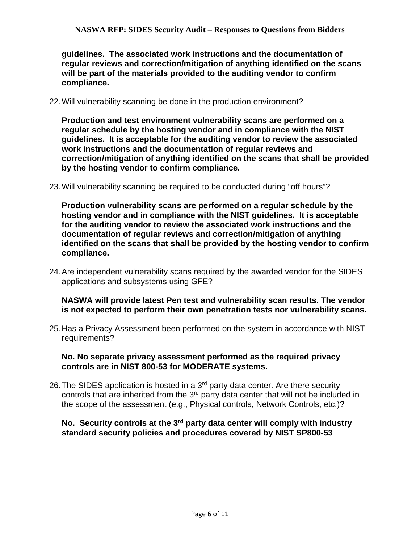**guidelines. The associated work instructions and the documentation of regular reviews and correction/mitigation of anything identified on the scans will be part of the materials provided to the auditing vendor to confirm compliance.**

22.Will vulnerability scanning be done in the production environment?

**Production and test environment vulnerability scans are performed on a regular schedule by the hosting vendor and in compliance with the NIST guidelines. It is acceptable for the auditing vendor to review the associated work instructions and the documentation of regular reviews and correction/mitigation of anything identified on the scans that shall be provided by the hosting vendor to confirm compliance.**

23.Will vulnerability scanning be required to be conducted during "off hours"?

**Production vulnerability scans are performed on a regular schedule by the hosting vendor and in compliance with the NIST guidelines. It is acceptable for the auditing vendor to review the associated work instructions and the documentation of regular reviews and correction/mitigation of anything identified on the scans that shall be provided by the hosting vendor to confirm compliance.**

24.Are independent vulnerability scans required by the awarded vendor for the SIDES applications and subsystems using GFE?

## **NASWA will provide latest Pen test and vulnerability scan results. The vendor is not expected to perform their own penetration tests nor vulnerability scans.**

25.Has a Privacy Assessment been performed on the system in accordance with NIST requirements?

#### **No. No separate privacy assessment performed as the required privacy controls are in NIST 800-53 for MODERATE systems.**

26. The SIDES application is hosted in a  $3<sup>rd</sup>$  party data center. Are there security controls that are inherited from the 3<sup>rd</sup> party data center that will not be included in the scope of the assessment (e.g., Physical controls, Network Controls, etc.)?

## **No. Security controls at the 3rd party data center will comply with industry standard security policies and procedures covered by NIST SP800-53**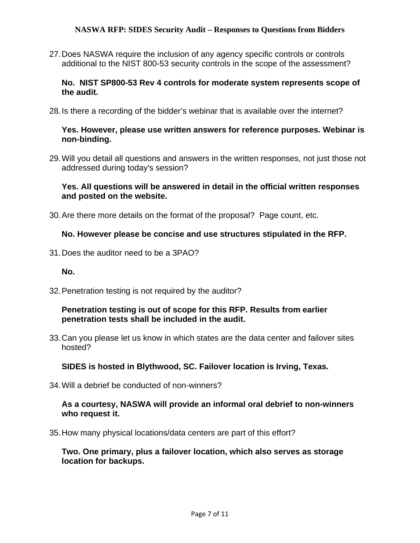27.Does NASWA require the inclusion of any agency specific controls or controls additional to the NIST 800-53 security controls in the scope of the assessment?

**No. NIST SP800-53 Rev 4 controls for moderate system represents scope of the audit.**

28.Is there a recording of the bidder's webinar that is available over the internet?

#### **Yes. However, please use written answers for reference purposes. Webinar is non-binding.**

29.Will you detail all questions and answers in the written responses, not just those not addressed during today's session?

#### **Yes. All questions will be answered in detail in the official written responses and posted on the website.**

30.Are there more details on the format of the proposal? Page count, etc.

#### **No. However please be concise and use structures stipulated in the RFP.**

31.Does the auditor need to be a 3PAO?

**No.**

32.Penetration testing is not required by the auditor?

#### **Penetration testing is out of scope for this RFP. Results from earlier penetration tests shall be included in the audit.**

33.Can you please let us know in which states are the data center and failover sites hosted?

**SIDES is hosted in Blythwood, SC. Failover location is Irving, Texas.**

34.Will a debrief be conducted of non-winners?

#### **As a courtesy, NASWA will provide an informal oral debrief to non-winners who request it.**

35.How many physical locations/data centers are part of this effort?

**Two. One primary, plus a failover location, which also serves as storage location for backups.**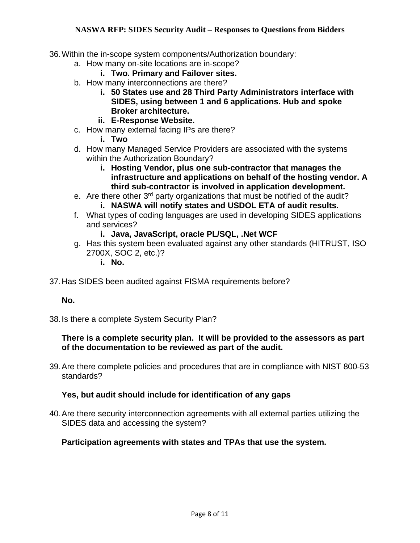- 36.Within the in-scope system components/Authorization boundary:
	- a. How many on-site locations are in-scope?
		- **i. Two. Primary and Failover sites.**
	- b. How many interconnections are there?
		- **i. 50 States use and 28 Third Party Administrators interface with SIDES, using between 1 and 6 applications. Hub and spoke Broker architecture.**
		- **ii. E-Response Website.**
	- c. How many external facing IPs are there?
		- **i. Two**
	- d. How many Managed Service Providers are associated with the systems within the Authorization Boundary?
		- **i. Hosting Vendor, plus one sub-contractor that manages the infrastructure and applications on behalf of the hosting vendor. A third sub-contractor is involved in application development.**
	- e. Are there other 3rd party organizations that must be notified of the audit?
		- **i. NASWA will notify states and USDOL ETA of audit results.**
	- f. What types of coding languages are used in developing SIDES applications and services?
		- **i. Java, JavaScript, oracle PL/SQL, .Net WCF**
	- g. Has this system been evaluated against any other standards (HITRUST, ISO 2700X, SOC 2, etc.)?
		- **i. No.**
- 37.Has SIDES been audited against FISMA requirements before?

#### **No.**

38.Is there a complete System Security Plan?

#### **There is a complete security plan. It will be provided to the assessors as part of the documentation to be reviewed as part of the audit.**

39.Are there complete policies and procedures that are in compliance with NIST 800-53 standards?

## **Yes, but audit should include for identification of any gaps**

40.Are there security interconnection agreements with all external parties utilizing the SIDES data and accessing the system?

#### **Participation agreements with states and TPAs that use the system.**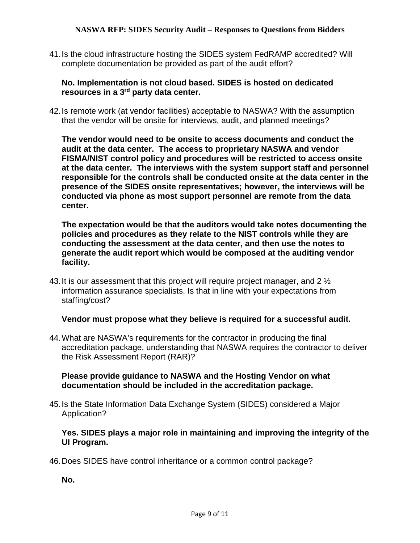41.Is the cloud infrastructure hosting the SIDES system FedRAMP accredited? Will complete documentation be provided as part of the audit effort?

## **No. Implementation is not cloud based. SIDES is hosted on dedicated resources in a 3rd party data center.**

42.Is remote work (at vendor facilities) acceptable to NASWA? With the assumption that the vendor will be onsite for interviews, audit, and planned meetings?

**The vendor would need to be onsite to access documents and conduct the audit at the data center. The access to proprietary NASWA and vendor FISMA/NIST control policy and procedures will be restricted to access onsite at the data center. The interviews with the system support staff and personnel responsible for the controls shall be conducted onsite at the data center in the presence of the SIDES onsite representatives; however, the interviews will be conducted via phone as most support personnel are remote from the data center.** 

**The expectation would be that the auditors would take notes documenting the policies and procedures as they relate to the NIST controls while they are conducting the assessment at the data center, and then use the notes to generate the audit report which would be composed at the auditing vendor facility.**

43. It is our assessment that this project will require project manager, and 2  $\frac{1}{2}$ information assurance specialists. Is that in line with your expectations from staffing/cost?

## **Vendor must propose what they believe is required for a successful audit.**

44.What are NASWA's requirements for the contractor in producing the final accreditation package, understanding that NASWA requires the contractor to deliver the Risk Assessment Report (RAR)?

## **Please provide guidance to NASWA and the Hosting Vendor on what documentation should be included in the accreditation package.**

45.Is the State Information Data Exchange System (SIDES) considered a Major Application?

## **Yes. SIDES plays a major role in maintaining and improving the integrity of the UI Program.**

46.Does SIDES have control inheritance or a common control package?

**No.**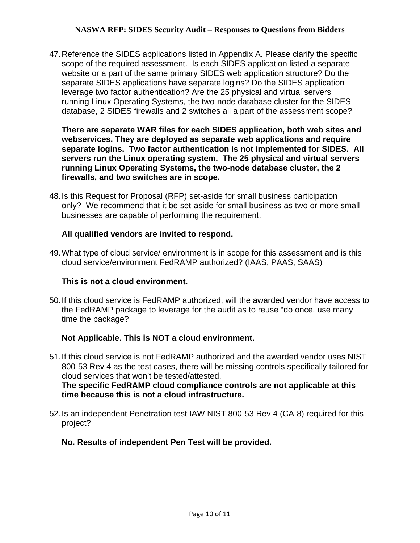47.Reference the SIDES applications listed in Appendix A. Please clarify the specific scope of the required assessment. Is each SIDES application listed a separate website or a part of the same primary SIDES web application structure? Do the separate SIDES applications have separate logins? Do the SIDES application leverage two factor authentication? Are the 25 physical and virtual servers running Linux Operating Systems, the two-node database cluster for the SIDES database, 2 SIDES firewalls and 2 switches all a part of the assessment scope?

**There are separate WAR files for each SIDES application, both web sites and webservices. They are deployed as separate web applications and require separate logins. Two factor authentication is not implemented for SIDES. All servers run the Linux operating system. The 25 physical and virtual servers running Linux Operating Systems, the two-node database cluster, the 2 firewalls, and two switches are in scope.**

48.Is this Request for Proposal (RFP) set-aside for small business participation only? We recommend that it be set-aside for small business as two or more small businesses are capable of performing the requirement.

## **All qualified vendors are invited to respond.**

49.What type of cloud service/ environment is in scope for this assessment and is this cloud service/environment FedRAMP authorized? (IAAS, PAAS, SAAS)

## **This is not a cloud environment.**

50.If this cloud service is FedRAMP authorized, will the awarded vendor have access to the FedRAMP package to leverage for the audit as to reuse "do once, use many time the package?

## **Not Applicable. This is NOT a cloud environment.**

51.If this cloud service is not FedRAMP authorized and the awarded vendor uses NIST 800-53 Rev 4 as the test cases, there will be missing controls specifically tailored for cloud services that won't be tested/attested.

**The specific FedRAMP cloud compliance controls are not applicable at this time because this is not a cloud infrastructure.**

52.Is an independent Penetration test IAW NIST 800-53 Rev 4 (CA-8) required for this project?

## **No. Results of independent Pen Test will be provided.**